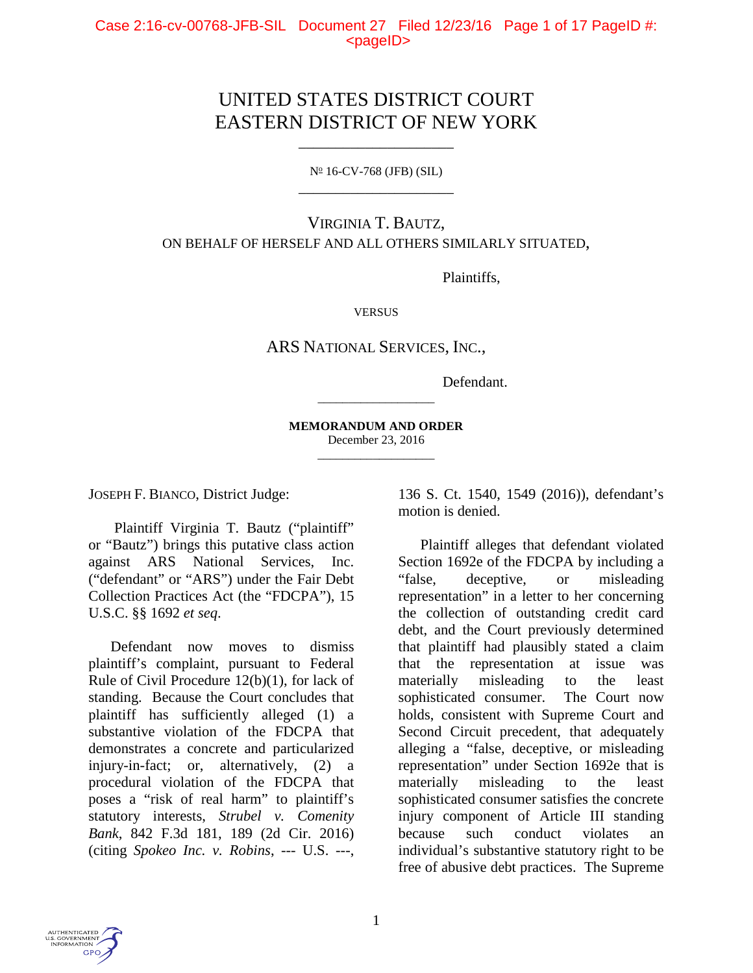# UNITED STATES DISTRICT COURT EASTERN DISTRICT OF NEW YORK

 $N^{\circ}$  16-CV-768 (JFB) (SIL) \_\_\_\_\_\_\_\_\_\_\_\_\_\_\_\_\_\_\_\_\_

\_\_\_\_\_\_\_\_\_\_\_\_\_\_\_\_\_\_\_\_\_

## VIRGINIA T. BAUTZ, ON BEHALF OF HERSELF AND ALL OTHERS SIMILARLY SITUATED,

Plaintiffs,

**VERSUS** 

ARS NATIONAL SERVICES, INC.,

Defendant.

**MEMORANDUM AND ORDER** December 23, 2016 \_\_\_\_\_\_\_\_\_\_\_\_\_\_\_\_\_\_\_

\_\_\_\_\_\_\_\_\_\_\_\_\_\_\_\_\_\_\_

JOSEPH F. BIANCO, District Judge:

Plaintiff Virginia T. Bautz ("plaintiff" or "Bautz") brings this putative class action against ARS National Services, Inc. ("defendant" or "ARS") under the Fair Debt Collection Practices Act (the "FDCPA"), 15 U.S.C. §§ 1692 *et seq*.

Defendant now moves to dismiss plaintiff's complaint, pursuant to Federal Rule of Civil Procedure 12(b)(1), for lack of standing. Because the Court concludes that plaintiff has sufficiently alleged (1) a substantive violation of the FDCPA that demonstrates a concrete and particularized injury-in-fact; or, alternatively, (2) a procedural violation of the FDCPA that poses a "risk of real harm" to plaintiff's statutory interests, *Strubel v. Comenity Bank*, 842 F.3d 181, 189 (2d Cir. 2016) (citing *Spokeo Inc. v. Robins*, --- U.S. ---,

136 S. Ct. 1540, 1549 (2016)), defendant's motion is denied.

Plaintiff alleges that defendant violated Section 1692e of the FDCPA by including a "false, deceptive, or misleading representation" in a letter to her concerning the collection of outstanding credit card debt, and the Court previously determined that plaintiff had plausibly stated a claim that the representation at issue was materially misleading to the least sophisticated consumer. The Court now holds, consistent with Supreme Court and Second Circuit precedent, that adequately alleging a "false, deceptive, or misleading representation" under Section 1692e that is materially misleading to the least sophisticated consumer satisfies the concrete injury component of Article III standing because such conduct violates an individual's substantive statutory right to be free of abusive debt practices. The Supreme

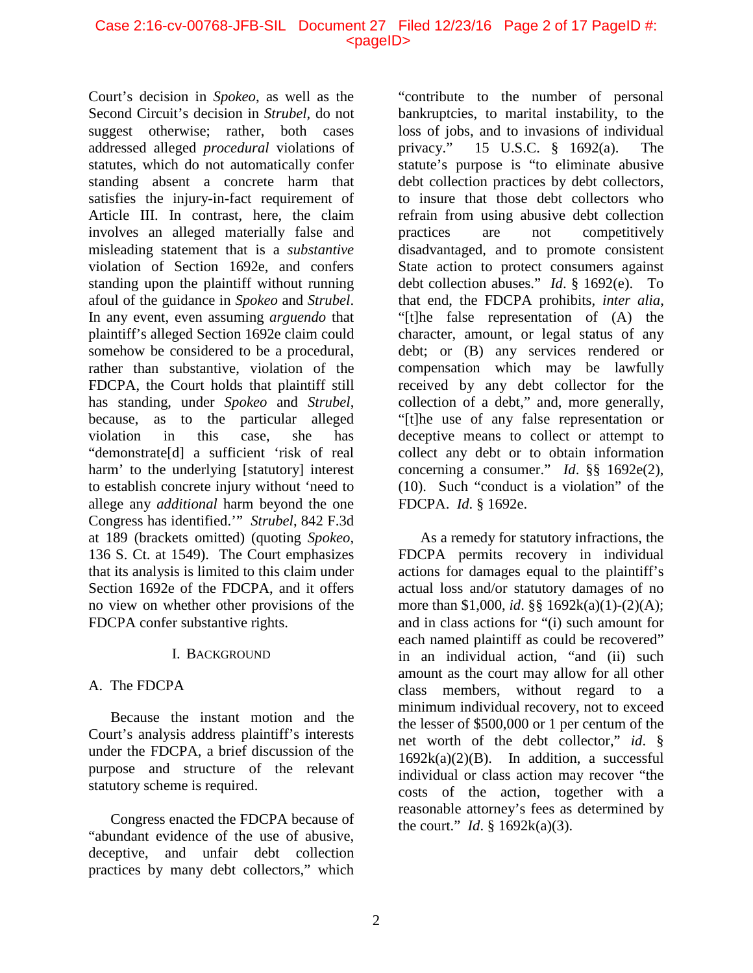#### Case 2:16-cv-00768-JFB-SIL Document 27 Filed 12/23/16 Page 2 of 17 PageID #: <pageID>

Court's decision in *Spokeo*, as well as the Second Circuit's decision in *Strubel*, do not suggest otherwise; rather, both cases addressed alleged *procedural* violations of statutes, which do not automatically confer standing absent a concrete harm that satisfies the injury-in-fact requirement of Article III. In contrast, here, the claim involves an alleged materially false and misleading statement that is a *substantive* violation of Section 1692e, and confers standing upon the plaintiff without running afoul of the guidance in *Spokeo* and *Strubel*. In any event, even assuming *arguendo* that plaintiff's alleged Section 1692e claim could somehow be considered to be a procedural, rather than substantive, violation of the FDCPA, the Court holds that plaintiff still has standing, under *Spokeo* and *Strubel*, because, as to the particular alleged violation in this case, she has "demonstrate[d] a sufficient 'risk of real harm' to the underlying [statutory] interest to establish concrete injury without 'need to allege any *additional* harm beyond the one Congress has identified.'" *Strubel*, 842 F.3d at 189 (brackets omitted) (quoting *Spokeo*, 136 S. Ct. at 1549). The Court emphasizes that its analysis is limited to this claim under Section 1692e of the FDCPA, and it offers no view on whether other provisions of the FDCPA confer substantive rights.

#### I. BACKGROUND

## A. The FDCPA

Because the instant motion and the Court's analysis address plaintiff's interests under the FDCPA, a brief discussion of the purpose and structure of the relevant statutory scheme is required.

Congress enacted the FDCPA because of "abundant evidence of the use of abusive, deceptive, and unfair debt collection practices by many debt collectors," which

"contribute to the number of personal bankruptcies, to marital instability, to the loss of jobs, and to invasions of individual privacy." 15 U.S.C. § 1692(a). The statute's purpose is "to eliminate abusive debt collection practices by debt collectors, to insure that those debt collectors who refrain from using abusive debt collection practices are not competitively disadvantaged, and to promote consistent State action to protect consumers against debt collection abuses." *Id*. § 1692(e). To that end, the FDCPA prohibits, *inter alia*, "[t]he false representation of (A) the character, amount, or legal status of any debt; or (B) any services rendered or compensation which may be lawfully received by any debt collector for the collection of a debt," and, more generally, "[t]he use of any false representation or deceptive means to collect or attempt to collect any debt or to obtain information concerning a consumer." *Id*. §§ 1692e(2), (10). Such "conduct is a violation" of the FDCPA. *Id*. § 1692e.

As a remedy for statutory infractions, the FDCPA permits recovery in individual actions for damages equal to the plaintiff's actual loss and/or statutory damages of no more than \$1,000, *id*. §§ 1692k(a)(1)-(2)(A); and in class actions for "(i) such amount for each named plaintiff as could be recovered" in an individual action, "and (ii) such amount as the court may allow for all other class members, without regard to a minimum individual recovery, not to exceed the lesser of \$500,000 or 1 per centum of the net worth of the debt collector," *id*. §  $1692k(a)(2)(B)$ . In addition, a successful individual or class action may recover "the costs of the action, together with a reasonable attorney's fees as determined by the court." *Id*. § 1692k(a)(3).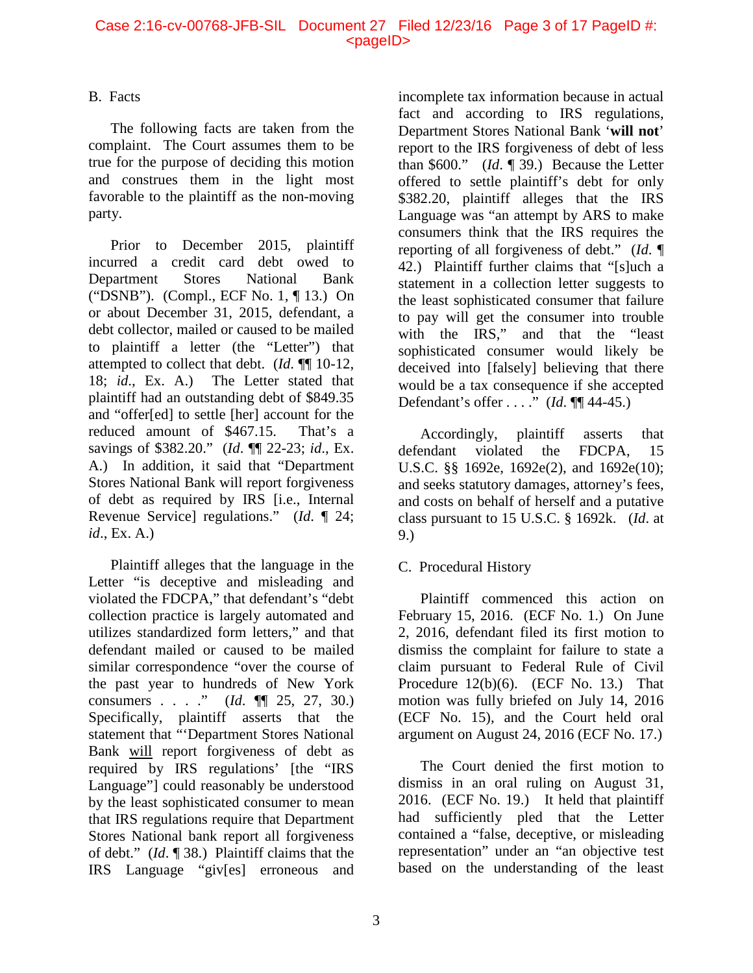#### Case 2:16-cv-00768-JFB-SIL Document 27 Filed 12/23/16 Page 3 of 17 PageID #: <pageID>

## B. Facts

The following facts are taken from the complaint. The Court assumes them to be true for the purpose of deciding this motion and construes them in the light most favorable to the plaintiff as the non-moving party.

Prior to December 2015, plaintiff incurred a credit card debt owed to Department Stores National Bank ("DSNB"). (Compl., ECF No. 1, ¶ 13.) On or about December 31, 2015, defendant, a debt collector, mailed or caused to be mailed to plaintiff a letter (the "Letter") that attempted to collect that debt. (*Id*. ¶¶ 10-12, 18; *id*., Ex. A.) The Letter stated that plaintiff had an outstanding debt of \$849.35 and "offer[ed] to settle [her] account for the reduced amount of \$467.15. That's a savings of \$382.20." (*Id*. ¶¶ 22-23; *id*., Ex. A.) In addition, it said that "Department Stores National Bank will report forgiveness of debt as required by IRS [i.e., Internal Revenue Service] regulations." (*Id*. ¶ 24; *id*., Ex. A.)

Plaintiff alleges that the language in the Letter "is deceptive and misleading and violated the FDCPA," that defendant's "debt collection practice is largely automated and utilizes standardized form letters," and that defendant mailed or caused to be mailed similar correspondence "over the course of the past year to hundreds of New York consumers . . . ." (*Id*. ¶¶ 25, 27, 30.) Specifically, plaintiff asserts that the statement that "'Department Stores National Bank will report forgiveness of debt as required by IRS regulations' [the "IRS Language"] could reasonably be understood by the least sophisticated consumer to mean that IRS regulations require that Department Stores National bank report all forgiveness of debt." (*Id*. ¶ 38.) Plaintiff claims that the IRS Language "giv[es] erroneous and

incomplete tax information because in actual fact and according to IRS regulations, Department Stores National Bank '**will not**' report to the IRS forgiveness of debt of less than \$600." (*Id*. ¶ 39.) Because the Letter offered to settle plaintiff's debt for only \$382.20, plaintiff alleges that the IRS Language was "an attempt by ARS to make consumers think that the IRS requires the reporting of all forgiveness of debt." (*Id*. ¶ 42.) Plaintiff further claims that "[s]uch a statement in a collection letter suggests to the least sophisticated consumer that failure to pay will get the consumer into trouble with the IRS," and that the "least sophisticated consumer would likely be deceived into [falsely] believing that there would be a tax consequence if she accepted Defendant's offer . . . ." (*Id*. ¶¶ 44-45.)

Accordingly, plaintiff asserts that defendant violated the FDCPA, 15 U.S.C. §§ 1692e, 1692e(2), and 1692e(10); and seeks statutory damages, attorney's fees, and costs on behalf of herself and a putative class pursuant to 15 U.S.C. § 1692k. (*Id*. at 9.)

## C. Procedural History

Plaintiff commenced this action on February 15, 2016. (ECF No. 1.) On June 2, 2016, defendant filed its first motion to dismiss the complaint for failure to state a claim pursuant to Federal Rule of Civil Procedure  $12(b)(6)$ . (ECF No. 13.) That motion was fully briefed on July 14, 2016 (ECF No. 15), and the Court held oral argument on August 24, 2016 (ECF No. 17.)

The Court denied the first motion to dismiss in an oral ruling on August 31, 2016. (ECF No. 19.) It held that plaintiff had sufficiently pled that the Letter contained a "false, deceptive, or misleading representation" under an "an objective test based on the understanding of the least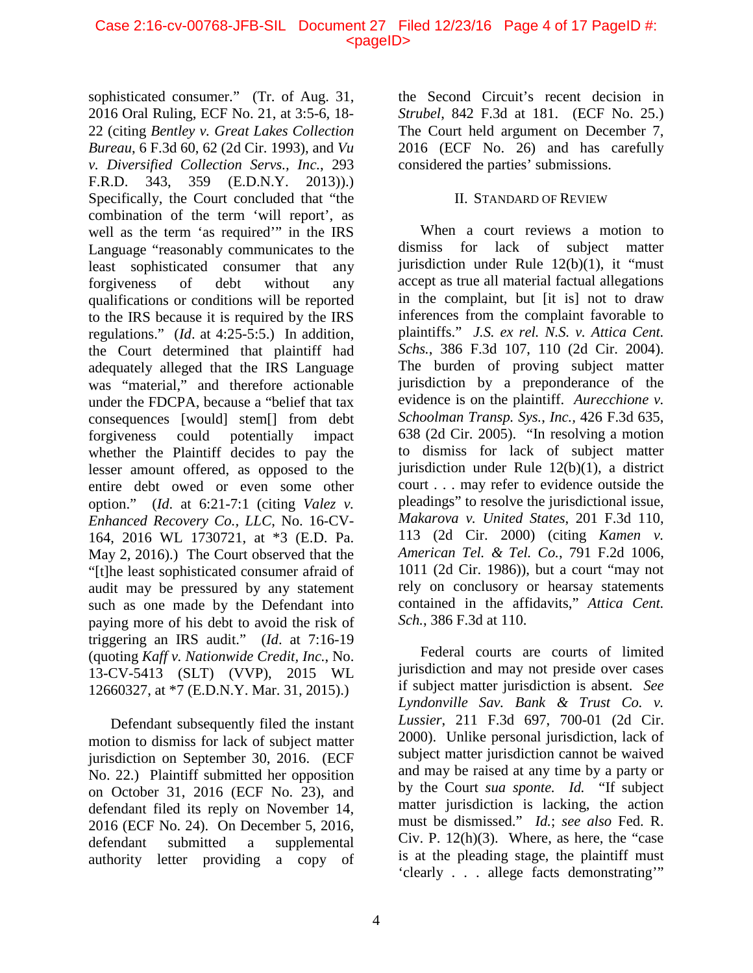sophisticated consumer." (Tr. of Aug. 31, 2016 Oral Ruling, ECF No. 21, at 3:5-6, 18- 22 (citing *Bentley v. Great Lakes Collection Bureau*, 6 F.3d 60, 62 (2d Cir. 1993), and *Vu v. Diversified Collection Servs., Inc.*, 293 F.R.D. 343, 359 (E.D.N.Y. 2013)).) Specifically, the Court concluded that "the combination of the term 'will report', as well as the term 'as required'" in the IRS Language "reasonably communicates to the least sophisticated consumer that any forgiveness of debt without any qualifications or conditions will be reported to the IRS because it is required by the IRS regulations." (*Id*. at 4:25-5:5.) In addition, the Court determined that plaintiff had adequately alleged that the IRS Language was "material," and therefore actionable under the FDCPA, because a "belief that tax consequences [would] stem[] from debt forgiveness could potentially impact whether the Plaintiff decides to pay the lesser amount offered, as opposed to the entire debt owed or even some other option." (*Id*. at 6:21-7:1 (citing *Valez v. Enhanced Recovery Co., LLC*, No. 16-CV-164, 2016 WL 1730721, at \*3 (E.D. Pa. May 2, 2016).) The Court observed that the "[t]he least sophisticated consumer afraid of audit may be pressured by any statement such as one made by the Defendant into paying more of his debt to avoid the risk of triggering an IRS audit." (*Id*. at 7:16-19 (quoting *Kaff v. Nationwide Credit, Inc.*, No. 13-CV-5413 (SLT) (VVP), 2015 WL 12660327, at \*7 (E.D.N.Y. Mar. 31, 2015).)

Defendant subsequently filed the instant motion to dismiss for lack of subject matter jurisdiction on September 30, 2016. (ECF No. 22.) Plaintiff submitted her opposition on October 31, 2016 (ECF No. 23), and defendant filed its reply on November 14, 2016 (ECF No. 24). On December 5, 2016, defendant submitted a supplemental authority letter providing a copy of

the Second Circuit's recent decision in *Strubel*, 842 F.3d at 181. (ECF No. 25.) The Court held argument on December 7, 2016 (ECF No. 26) and has carefully considered the parties' submissions.

## II. STANDARD OF REVIEW

When a court reviews a motion to dismiss for lack of subject matter jurisdiction under Rule 12(b)(1), it "must accept as true all material factual allegations in the complaint, but [it is] not to draw inferences from the complaint favorable to plaintiffs." *J.S. ex rel. N.S. v. Attica Cent. Schs.*, 386 F.3d 107, 110 (2d Cir. 2004). The burden of proving subject matter jurisdiction by a preponderance of the evidence is on the plaintiff. *Aurecchione v. Schoolman Transp. Sys.*, *Inc.,* 426 F.3d 635, 638 (2d Cir. 2005). "In resolving a motion to dismiss for lack of subject matter jurisdiction under Rule 12(b)(1), a district court . . . may refer to evidence outside the pleadings" to resolve the jurisdictional issue, *Makarova v. United States*, 201 F.3d 110, 113 (2d Cir. 2000) (citing *Kamen v. American Tel. & Tel. Co.*, 791 F.2d 1006, 1011 (2d Cir. 1986)), but a court "may not rely on conclusory or hearsay statements contained in the affidavits," *Attica Cent. Sch.*, 386 F.3d at 110.

Federal courts are courts of limited jurisdiction and may not preside over cases if subject matter jurisdiction is absent. *See [Lyndonville Sav. Bank & Trust Co. v.](https://1.next.westlaw.com/Link/Document/FullText?findType=Y&serNum=2000301497&pubNum=0000506&originatingDoc=I32a0fbd95c4411e590d4edf60ce7d742&refType=RP&fi=co_pp_sp_506_700&originationContext=document&transitionType=DocumentItem&contextData=(sc.Search)#co_pp_sp_506_700)  Lussier*, [211 F.3d 697, 700-01 \(2d Cir.](https://1.next.westlaw.com/Link/Document/FullText?findType=Y&serNum=2000301497&pubNum=0000506&originatingDoc=I32a0fbd95c4411e590d4edf60ce7d742&refType=RP&fi=co_pp_sp_506_700&originationContext=document&transitionType=DocumentItem&contextData=(sc.Search)#co_pp_sp_506_700)  [2000\).](https://1.next.westlaw.com/Link/Document/FullText?findType=Y&serNum=2000301497&pubNum=0000506&originatingDoc=I32a0fbd95c4411e590d4edf60ce7d742&refType=RP&fi=co_pp_sp_506_700&originationContext=document&transitionType=DocumentItem&contextData=(sc.Search)#co_pp_sp_506_700) Unlike personal jurisdiction, lack of subject matter jurisdiction cannot be waived and may be raised at any time by a party or by the Court *sua sponte. Id.* "If subject matter jurisdiction is lacking, the action must be dismissed." *Id.*; *see also* [Fed.](https://1.next.westlaw.com/Link/Document/FullText?findType=L&pubNum=1000600&cite=USFRCPR12&originatingDoc=I32a0fbd95c4411e590d4edf60ce7d742&refType=RB&originationContext=document&transitionType=DocumentItem&contextData=(sc.Search)#co_pp_9d43000088150) R. Civ. P.  $12(h)(3)$ . Where, as here, the "case" is at the pleading stage, the plaintiff must 'clearly . . . allege facts demonstrating'"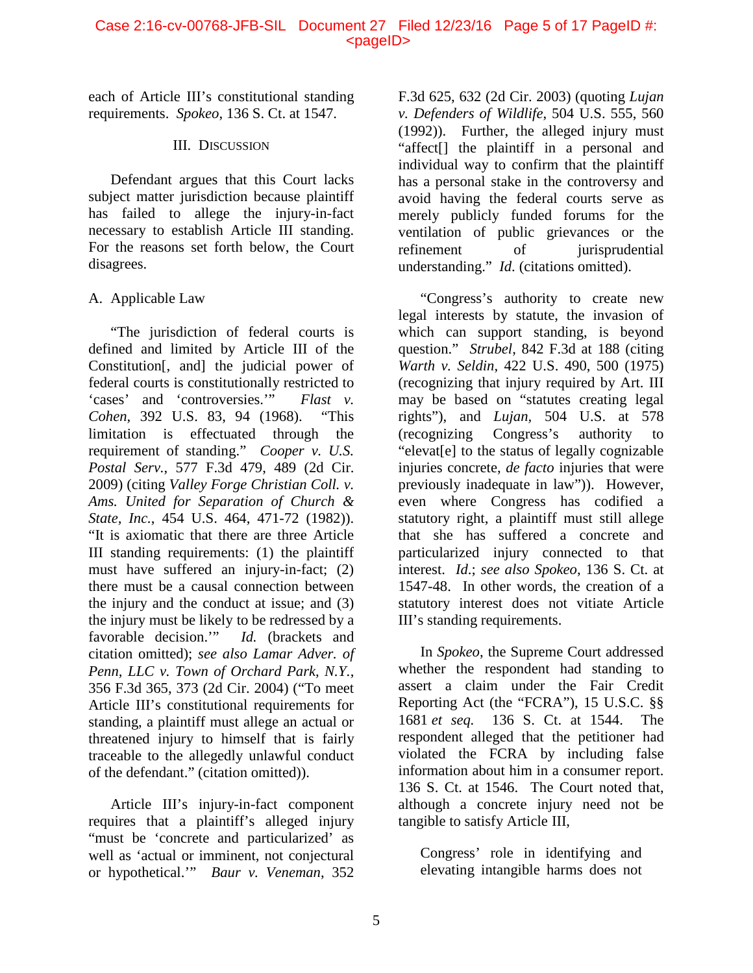each of Article III's constitutional standing requirements. *Spokeo*, 136 S. Ct. at 1547.

## III. DISCUSSION

Defendant argues that this Court lacks subject matter jurisdiction because plaintiff has failed to allege the injury-in-fact necessary to establish Article III standing. For the reasons set forth below, the Court disagrees.

## A. Applicable Law

"The jurisdiction of federal courts is defined and limited by Article III of the Constitution[, and] the judicial power of federal courts is constitutionally restricted to 'cases' and 'controversies.'" *Flast v. Cohen*, 392 U.S. 83, 94 (1968). "This limitation is effectuated through the requirement of standing." *Cooper v. U.S. Postal Serv.*, 577 F.3d 479, 489 (2d Cir. 2009) (citing *Valley Forge Christian Coll. v. Ams. United for Separation of Church & State, Inc.*, 454 U.S. 464, 471-72 (1982)). "It is axiomatic that there are three Article III standing requirements: (1) the plaintiff must have suffered an injury-in-fact; (2) there must be a causal connection between the injury and the conduct at issue; and (3) the injury must be likely to be redressed by a favorable decision.'" *Id.* (brackets and citation omitted); *see also Lamar Adver. of Penn, LLC v. Town of Orchard Park, N.Y.*, 356 F.3d 365, 373 (2d Cir. 2004) ("To meet Article III's constitutional requirements for standing, a plaintiff must allege an actual or threatened injury to himself that is fairly traceable to the allegedly unlawful conduct of the defendant." (citation omitted)).

Article III's injury-in-fact component requires that a plaintiff's alleged injury "must be 'concrete and particularized' as well as 'actual or imminent, not conjectural or hypothetical.'" *Baur v. Veneman*, 352

F.3d 625, 632 (2d Cir. 2003) (quoting *Lujan v. Defenders of Wildlife*, 504 U.S. 555, 560 (1992)). Further, the alleged injury must "affect[] the plaintiff in a personal and individual way to confirm that the plaintiff has a personal stake in the controversy and avoid having the federal courts serve as merely publicly funded forums for the ventilation of public grievances or the refinement of jurisprudential understanding." *Id*. (citations omitted).

"Congress's authority to create new legal interests by statute, the invasion of which can support standing, is beyond question." *Strubel*, 842 F.3d at 188 (citing *Warth v. Seldin*, 422 U.S. 490, 500 (1975) (recognizing that injury required by Art. III may be based on "statutes creating legal rights"), and *Lujan,* 504 U.S. at 578 (recognizing Congress's authority to "elevat[e] to the status of legally cognizable injuries concrete, *de facto* injuries that were previously inadequate in law")). However, even where Congress has codified a statutory right, a plaintiff must still allege that she has suffered a concrete and particularized injury connected to that interest. *Id*.; *see also Spokeo*, 136 S. Ct. at 1547-48. In other words, the creation of a statutory interest does not vitiate Article III's standing requirements.

In *Spokeo*, the Supreme Court addressed whether the respondent had standing to assert a claim under the Fair Credit Reporting Act (the "FCRA"), [15 U.S.C. §§](https://1.next.westlaw.com/Link/Document/FullText?findType=L&pubNum=1000546&cite=15USCAS1681&originatingDoc=I041b593a1b6011e6a807ad48145ed9f1&refType=LQ&originationContext=document&transitionType=DocumentItem&contextData=(sc.DocLink))  1681 *[et seq.](https://1.next.westlaw.com/Link/Document/FullText?findType=L&pubNum=1000546&cite=15USCAS1681&originatingDoc=I041b593a1b6011e6a807ad48145ed9f1&refType=LQ&originationContext=document&transitionType=DocumentItem&contextData=(sc.DocLink))* 136 S. Ct. at 1544. The respondent alleged that the petitioner had violated the FCRA by including false information about him in a consumer report. 136 S. Ct. at 1546. The Court noted that, although a concrete injury need not be tangible to satisfy Article III,

Congress' role in identifying and elevating intangible harms does not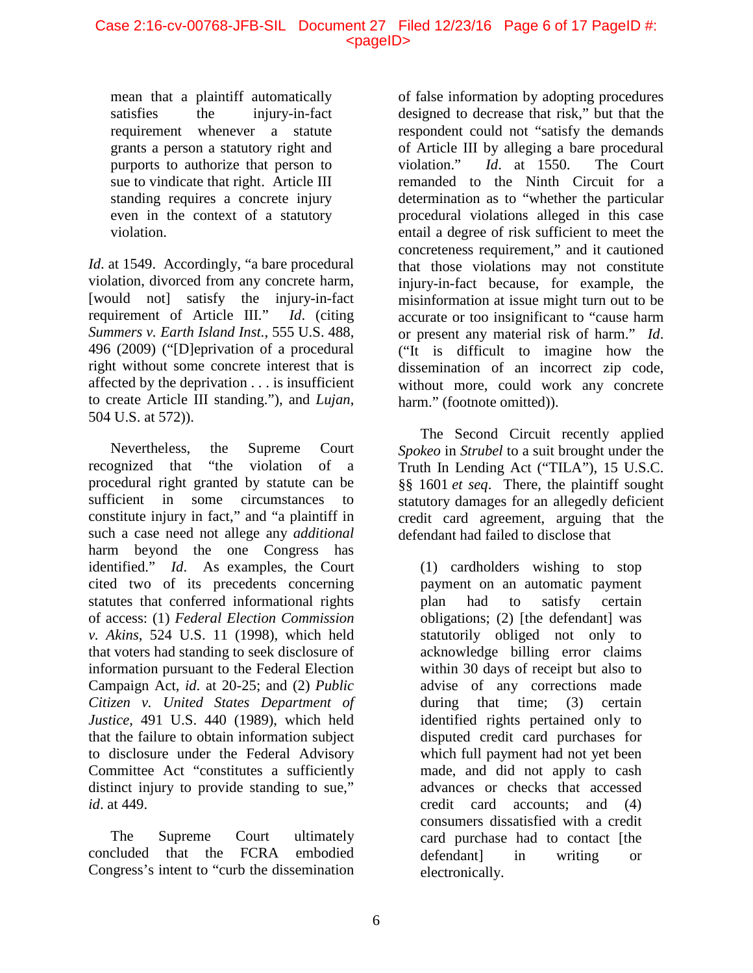#### Case 2:16-cv-00768-JFB-SIL Document 27 Filed 12/23/16 Page 6 of 17 PageID #: <pageID>

mean that a plaintiff automatically satisfies the injury-in-fact requirement whenever a statute grants a person a statutory right and purports to authorize that person to sue to vindicate that right. Article III standing requires a concrete injury even in the context of a statutory violation.

*Id.* at 1549. Accordingly, "a bare procedural violation, divorced from any concrete harm, [would not] satisfy the injury-in-fact requirement of Article III." *Id*. (citing *Summers v. Earth Island Inst.*, 555 U.S. 488, 496 (2009) ("[D]eprivation of a procedural right without some concrete interest that is affected by the deprivation . . . is insufficient to create Article III standing."), and *Lujan*, 504 U.S. at 572)).

Nevertheless, the Supreme Court recognized that "the violation of a procedural right granted by statute can be sufficient in some circumstances to constitute injury in fact," and "a plaintiff in such a case need not allege any *additional* harm beyond the one Congress has identified." *Id*. As examples, the Court cited two of its precedents concerning statutes that conferred informational rights of access: (1) *Federal Election Commission v. Akins*, 524 U.S. 11 (1998), which held that voters had standing to seek disclosure of information pursuant to the Federal Election Campaign Act, *id*. at 20-25; and (2) *Public Citizen v. United States Department of Justice*, 491 U.S. 440 (1989), which held that the failure to obtain information subject to disclosure under the Federal Advisory Committee Act "constitutes a sufficiently distinct injury to provide standing to sue," *id*. at 449.

The Supreme Court ultimately concluded that the FCRA embodied Congress's intent to "curb the dissemination of false information by adopting procedures designed to decrease that risk," but that the respondent could not "satisfy the demands of Article III by alleging a bare procedural violation." *Id*. at 1550. The Court remanded to the Ninth Circuit for a determination as to "whether the particular procedural violations alleged in this case entail a degree of risk sufficient to meet the concreteness requirement," and it cautioned that those violations may not constitute injury-in-fact because, for example, the misinformation at issue might turn out to be accurate or too insignificant to "cause harm or present any material risk of harm." *Id*. ("It is difficult to imagine how the dissemination of an incorrect zip code, without more, could work any concrete harm." (footnote omitted)).

The Second Circuit recently applied *Spokeo* in *Strubel* to a suit brought under the Truth In Lending Act ("TILA"), [15 U.S.C.](https://1.next.westlaw.com/Link/Document/FullText?findType=L&pubNum=1000546&cite=15USCAS1601&originatingDoc=I22cc72b0b1e511e6972aa83e6c16e5f7&refType=LQ&originationContext=document&transitionType=DocumentItem&contextData=(sc.Search)) [§§ 1601](https://1.next.westlaw.com/Link/Document/FullText?findType=L&pubNum=1000546&cite=15USCAS1601&originatingDoc=I22cc72b0b1e511e6972aa83e6c16e5f7&refType=LQ&originationContext=document&transitionType=DocumentItem&contextData=(sc.Search)) *et seq*. There, the plaintiff sought statutory damages for an allegedly deficient credit card agreement, arguing that the defendant had failed to disclose that

(1) cardholders wishing to stop payment on an automatic payment plan had to satisfy certain obligations; (2) [the defendant] was statutorily obliged not only to acknowledge billing error claims within 30 days of receipt but also to advise of any corrections made during that time; (3) certain identified rights pertained only to disputed credit card purchases for which full payment had not yet been made, and did not apply to cash advances or checks that accessed credit card accounts; and (4) consumers dissatisfied with a credit card purchase had to contact [the defendant] in writing or electronically.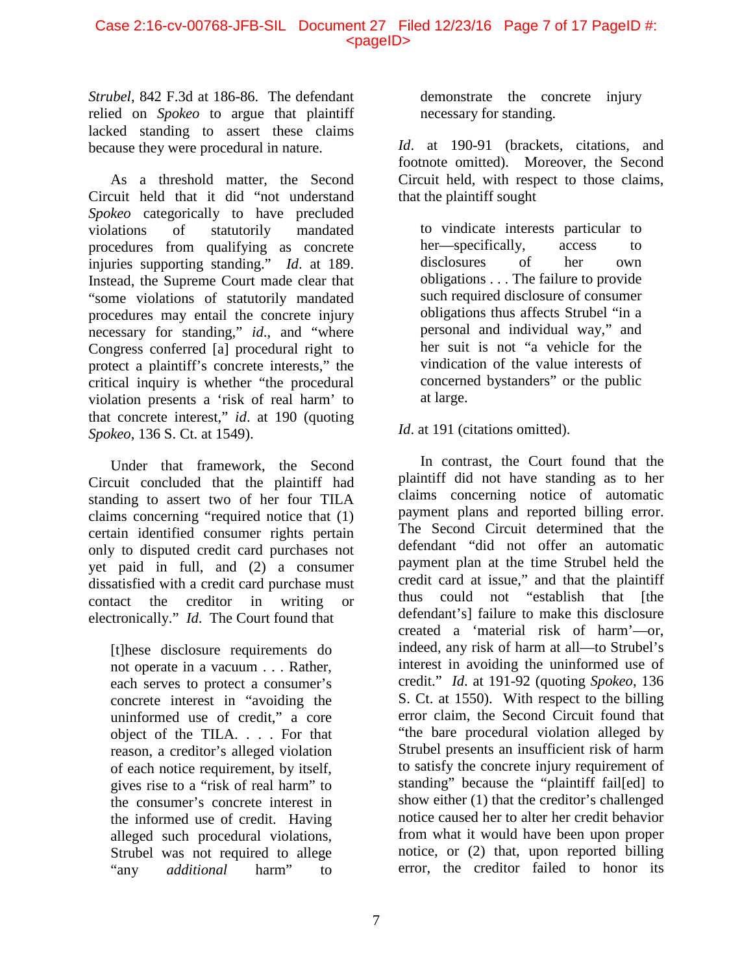#### Case 2:16-cv-00768-JFB-SIL Document 27 Filed 12/23/16 Page 7 of 17 PageID #: <pageID>

*Strubel*, 842 F.3d at 186-86. The defendant relied on *Spokeo* to argue that plaintiff lacked standing to assert these claims because they were procedural in nature.

As a threshold matter, the Second Circuit held that it did "not understand *Spokeo* categorically to have precluded violations of statutorily mandated procedures from qualifying as concrete injuries supporting standing." *Id*. at 189. Instead, the Supreme Court made clear that "some violations of statutorily mandated procedures may entail the concrete injury necessary for standing," *id*., and "where Congress conferred [a] procedural right to protect a plaintiff's concrete interests," the critical inquiry is whether "the procedural violation presents a 'risk of real harm' to that concrete interest," *id*. at 190 (quoting *Spokeo*, 136 S. Ct. at 1549).

Under that framework, the Second Circuit concluded that the plaintiff had standing to assert two of her four TILA claims concerning "required notice that (1) certain identified consumer rights pertain only to disputed credit card purchases not yet paid in full, and (2) a consumer dissatisfied with a credit card purchase must contact the creditor in writing or electronically." *Id*. The Court found that

[t]hese disclosure requirements do not operate in a vacuum . . . Rather, each serves to protect a consumer's concrete interest in "avoiding the uninformed use of credit," a core object of the TILA. . . . For that reason, a creditor's alleged violation of each notice requirement, by itself, gives rise to a "risk of real harm" to the consumer's concrete interest in the informed use of credit. Having alleged such procedural violations, Strubel was not required to allege "any *additional* harm" to

demonstrate the concrete injury necessary for standing.

*Id*. at 190-91 (brackets, citations, and footnote omitted). Moreover, the Second Circuit held, with respect to those claims, that the plaintiff sought

to vindicate interests particular to her—specifically, access to disclosures of her own obligations . . . The failure to provide such required disclosure of consumer obligations thus affects Strubel "in a personal and individual way," and her suit is not "a vehicle for the vindication of the value interests of concerned bystanders" or the public at large.

## *Id*. at 191 (citations omitted).

In contrast, the Court found that the plaintiff did not have standing as to her claims concerning notice of automatic payment plans and reported billing error. The Second Circuit determined that the defendant "did not offer an automatic payment plan at the time Strubel held the credit card at issue," and that the plaintiff thus could not "establish that [the defendant's] failure to make this disclosure created a 'material risk of harm'—or, indeed, any risk of harm at all—to Strubel's interest in avoiding the uninformed use of credit." *Id*. at 191-92 (quoting *Spokeo*, 136 S. Ct. at 1550). With respect to the billing error claim, the Second Circuit found that "the bare procedural violation alleged by Strubel presents an insufficient risk of harm to satisfy the concrete injury requirement of standing" because the "plaintiff fail[ed] to show either (1) that the creditor's challenged notice caused her to alter her credit behavior from what it would have been upon proper notice, or (2) that, upon reported billing error, the creditor failed to honor its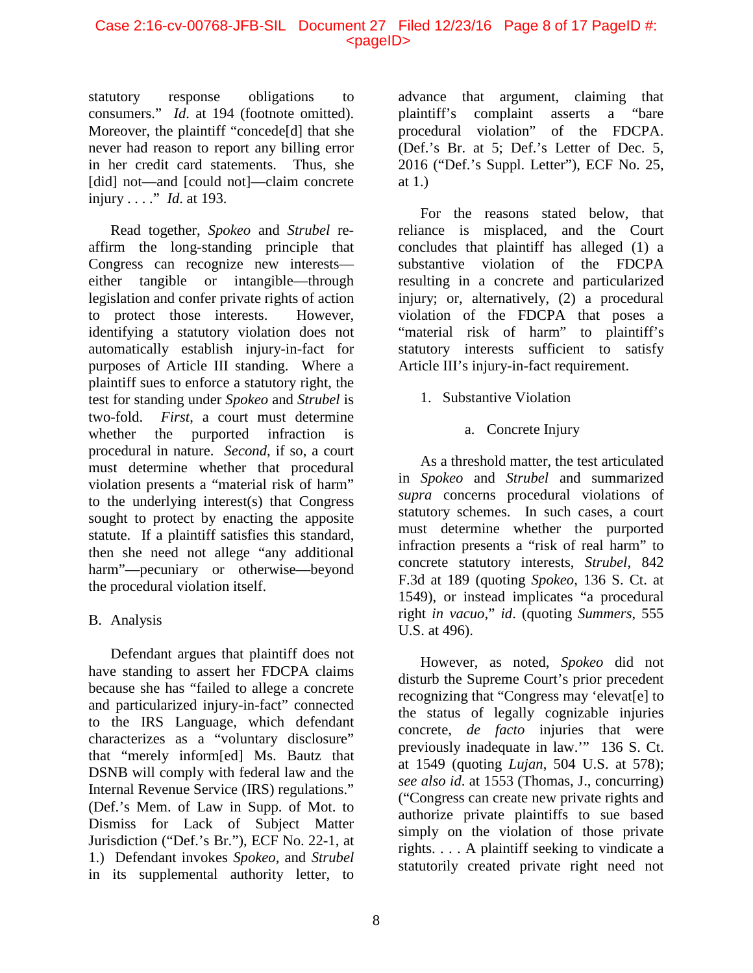#### Case 2:16-cv-00768-JFB-SIL Document 27 Filed 12/23/16 Page 8 of 17 PageID #: <pageID>

statutory response obligations to consumers." *Id*. at 194 (footnote omitted). Moreover, the plaintiff "concede[d] that she never had reason to report any billing error in her credit card statements. Thus, she [did] not—and [could not]—claim concrete injury . . . ." *Id*. at 193.

Read together, *Spokeo* and *Strubel* reaffirm the long-standing principle that Congress can recognize new interests either tangible or intangible—through legislation and confer private rights of action to protect those interests. However, identifying a statutory violation does not automatically establish injury-in-fact for purposes of Article III standing. Where a plaintiff sues to enforce a statutory right, the test for standing under *Spokeo* and *Strubel* is two-fold. *First*, a court must determine whether the purported infraction is procedural in nature. *Second*, if so, a court must determine whether that procedural violation presents a "material risk of harm" to the underlying interest(s) that Congress sought to protect by enacting the apposite statute. If a plaintiff satisfies this standard, then she need not allege "any additional harm"—pecuniary or otherwise—beyond the procedural violation itself.

## B. Analysis

Defendant argues that plaintiff does not have standing to assert her FDCPA claims because she has "failed to allege a concrete and particularized injury-in-fact" connected to the IRS Language, which defendant characterizes as a "voluntary disclosure" that "merely inform[ed] Ms. Bautz that DSNB will comply with federal law and the Internal Revenue Service (IRS) regulations." (Def.'s Mem. of Law in Supp. of Mot. to Dismiss for Lack of Subject Matter Jurisdiction ("Def.'s Br."), ECF No. 22-1, at 1.) Defendant invokes *Spokeo,* and *Strubel* in its supplemental authority letter, to

advance that argument, claiming that plaintiff's complaint asserts a "bare procedural violation" of the FDCPA. (Def.'s Br. at 5; Def.'s Letter of Dec. 5, 2016 ("Def.'s Suppl. Letter"), ECF No. 25, at 1.)

For the reasons stated below, that reliance is misplaced, and the Court concludes that plaintiff has alleged (1) a substantive violation of the FDCPA resulting in a concrete and particularized injury; or, alternatively, (2) a procedural violation of the FDCPA that poses a "material risk of harm" to plaintiff's statutory interests sufficient to satisfy Article III's injury-in-fact requirement.

## 1. Substantive Violation

a. Concrete Injury

As a threshold matter, the test articulated in *Spokeo* and *Strubel* and summarized *supra* concerns procedural violations of statutory schemes. In such cases, a court must determine whether the purported infraction presents a "risk of real harm" to concrete statutory interests, *Strubel*, 842 F.3d at 189 (quoting *Spokeo*, 136 S. Ct. at 1549), or instead implicates "a procedural right *in vacuo*," *id*. (quoting *Summers*, 555 U.S. at 496).

However, as noted, *Spokeo* did not disturb the Supreme Court's prior precedent recognizing that "Congress may 'elevat[e] to the status of legally cognizable injuries concrete, *de facto* injuries that were previously inadequate in law.'" 136 S. Ct. at 1549 (quoting *Lujan*, 504 U.S. at 578); *see also id*. at 1553 (Thomas, J., concurring) ("Congress can create new private rights and authorize private plaintiffs to sue based simply on the violation of those private rights. . . . A plaintiff seeking to vindicate a statutorily created private right need not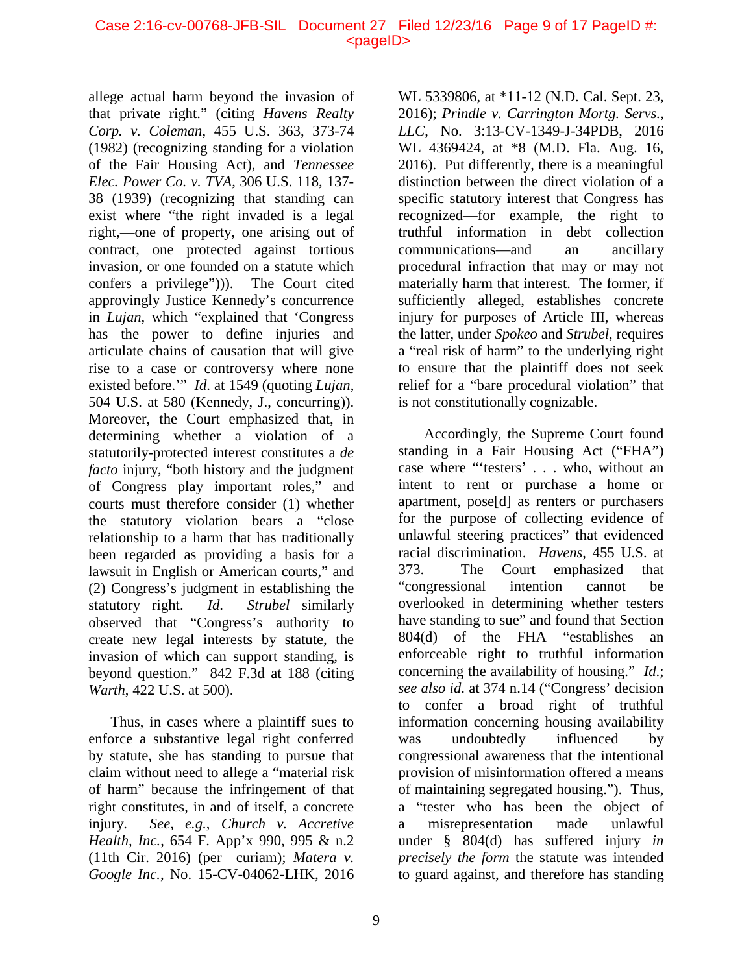#### Case 2:16-cv-00768-JFB-SIL Document 27 Filed 12/23/16 Page 9 of 17 PageID #: <pageID>

allege actual harm beyond the invasion of that private right." (citing *Havens Realty Corp. v. Coleman*, 455 U.S. 363, 373-74 (1982) (recognizing standing for a violation of the Fair Housing Act), and *Tennessee Elec. Power Co. v. TVA*, 306 U.S. 118, 137- 38 (1939) (recognizing that standing can exist where "the right invaded is a legal right,—one of property, one arising out of contract, one protected against tortious invasion, or one founded on a statute which confers a privilege"))). The Court cited approvingly Justice Kennedy's concurrence in *Lujan,* which "explained that 'Congress has the power to define injuries and articulate chains of causation that will give rise to a case or controversy where none existed before.'" *Id*. at 1549 (quoting *Lujan*, 504 U.S. at 580 (Kennedy, J., concurring)). Moreover, the Court emphasized that, in determining whether a violation of a statutorily-protected interest constitutes a *de facto* injury, "both history and the judgment of Congress play important roles," and courts must therefore consider (1) whether the statutory violation bears a "close relationship to a harm that has traditionally been regarded as providing a basis for a lawsuit in English or American courts," and (2) Congress's judgment in establishing the statutory right. *Id*. *Strubel* similarly observed that "Congress's authority to create new legal interests by statute, the invasion of which can support standing, is beyond question." 842 F.3d at 188 (citing *Warth*, 422 U.S. at 500).

Thus, in cases where a plaintiff sues to enforce a substantive legal right conferred by statute, she has standing to pursue that claim without need to allege a "material risk of harm" because the infringement of that right constitutes, in and of itself, a concrete injury. *See, e.g.*, *Church v. Accretive Health, Inc.*, 654 F. App'x 990, 995 & n.2 (11th Cir. 2016) (per curiam); *Matera v. Google Inc.*, No. 15-CV-04062-LHK, 2016

WL 5339806, at \*11-12 (N.D. Cal. Sept. 23, 2016); *Prindle v. Carrington Mortg. Servs., LLC*, No. 3:13-CV-1349-J-34PDB, 2016 WL 4369424, at \*8 (M.D. Fla. Aug. 16, 2016). Put differently, there is a meaningful distinction between the direct violation of a specific statutory interest that Congress has recognized—for example, the right to truthful information in debt collection communications—and an ancillary procedural infraction that may or may not materially harm that interest. The former, if sufficiently alleged, establishes concrete injury for purposes of Article III, whereas the latter, under *Spokeo* and *Strubel*, requires a "real risk of harm" to the underlying right to ensure that the plaintiff does not seek relief for a "bare procedural violation" that is not constitutionally cognizable.

Accordingly, the Supreme Court found standing in a Fair Housing Act ("FHA") case where "'testers' . . . who, without an intent to rent or purchase a home or apartment, pose[d] as renters or purchasers for the purpose of collecting evidence of unlawful steering practices" that evidenced racial discrimination. *Havens*, 455 U.S. at 373. The Court emphasized that "congressional intention cannot be overlooked in determining whether testers have standing to sue" and found that Section 804(d) of the FHA "establishes an enforceable right to truthful information concerning the availability of housing." *Id*.; *see also id*. at 374 n.14 ("Congress' decision to confer a broad right of truthful information concerning housing availability was undoubtedly influenced by congressional awareness that the intentional provision of misinformation offered a means of maintaining segregated housing."). Thus, a "tester who has been the object of a misrepresentation made unlawful under § 804(d) has suffered injury *in precisely the form* the statute was intended to guard against, and therefore has standing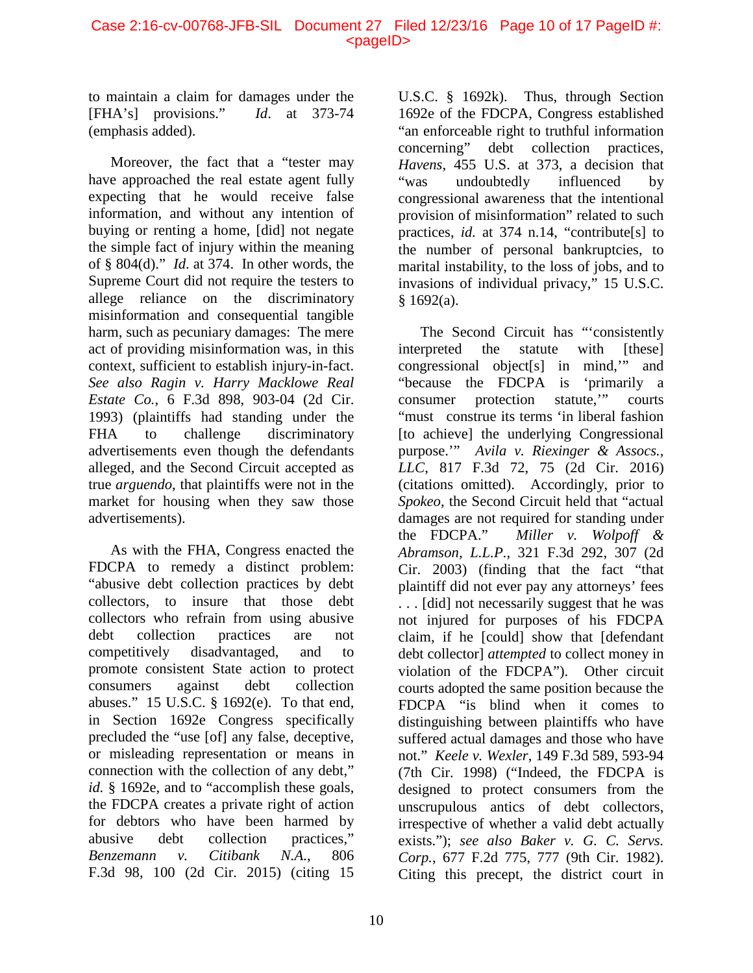#### Case 2:16-cv-00768-JFB-SIL Document 27 Filed 12/23/16 Page 10 of 17 PageID #: <pageID>

to maintain a claim for damages under the [FHA's] provisions." *Id*. at 373-74 (emphasis added).

Moreover, the fact that a "tester may have approached the real estate agent fully expecting that he would receive false information, and without any intention of buying or renting a home, [did] not negate the simple fact of injury within the meaning of § 804(d)." *Id*. at 374. In other words, the Supreme Court did not require the testers to allege reliance on the discriminatory misinformation and consequential tangible harm, such as pecuniary damages: The mere act of providing misinformation was, in this context, sufficient to establish injury-in-fact. *See also Ragin v. Harry Macklowe Real Estate Co.*, 6 F.3d 898, 903-04 (2d Cir. 1993) (plaintiffs had standing under the FHA to challenge discriminatory advertisements even though the defendants alleged, and the Second Circuit accepted as true *arguendo*, that plaintiffs were not in the market for housing when they saw those advertisements).

As with the FHA, Congress enacted the FDCPA to remedy a distinct problem: "abusive debt collection practices by debt collectors, to insure that those debt collectors who refrain from using abusive debt collection practices are not competitively disadvantaged, and to promote consistent State action to protect consumers against debt collection abuses." [15 U.S.C. § 1692\(e\).](https://1.next.westlaw.com/Link/Document/FullText?findType=L&pubNum=1000546&cite=15USCAS1692&originatingDoc=I2492dac0648911e68bf9cabfb8a03530&refType=SP&originationContext=document&transitionType=DocumentItem&contextData=(sc.History*oc.UserEnteredCitation)#co_pp_7fdd00001ca15) To that end, in Section 1692e Congress specifically precluded the "use [of] any false, deceptive, or misleading representation or means in connection with the collection of any debt," id. § 1692e, and to "accomplish these goals, the FDCPA creates a private right of action for debtors who have been harmed by abusive debt collection practices," *Benzemann v. Citibank N.A.*, 806 F.3d 98, 100 (2d Cir. 2015) (citing 15

U.S.C. § 1692k). Thus, through Section 1692e of the FDCPA, Congress established "an enforceable right to truthful information concerning" debt collection practices, *Havens*, 455 U.S. at 373, a decision that "was undoubtedly influenced by congressional awareness that the intentional provision of misinformation" related to such practices, *id.* at 374 n.14, "contribute[s] to the number of personal bankruptcies, to marital instability, to the loss of jobs, and to invasions of individual privacy," 15 U.S.C.  $§$  1692(a).

The Second Circuit has "'consistently interpreted the statute with [these] congressional object[s] in mind,'" and "because the FDCPA is 'primarily a consumer protection statute,'" courts "must construe its terms 'in liberal fashion [to achieve] the underlying Congressional purpose.'" *Avila v. Riexinger & Assocs., LLC*, 817 F.3d 72, 75 (2d Cir. 2016) (citations omitted). Accordingly, prior to *Spokeo*, the Second Circuit held that "actual damages are not required for standing under the FDCPA." *Miller v. Wolpoff & Abramson, L.L.P.*, 321 F.3d 292, 307 (2d Cir. 2003) (finding that the fact "that plaintiff did not ever pay any attorneys' fees . . . [did] not necessarily suggest that he was not injured for purposes of his FDCPA claim, if he [could] show that [defendant debt collector] *attempted* to collect money in violation of the FDCPA"). Other circuit courts adopted the same position because the FDCPA "is blind when it comes to distinguishing between plaintiffs who have suffered actual damages and those who have not." *Keele v. Wexler*, 149 F.3d 589, 593-94 (7th Cir. 1998) ("Indeed, the FDCPA is designed to protect consumers from the unscrupulous antics of debt collectors, irrespective of whether a valid debt actually exists."); *see also Baker v. G. C. Servs. Corp.*, 677 F.2d 775, 777 (9th Cir. 1982). Citing this precept, the district court in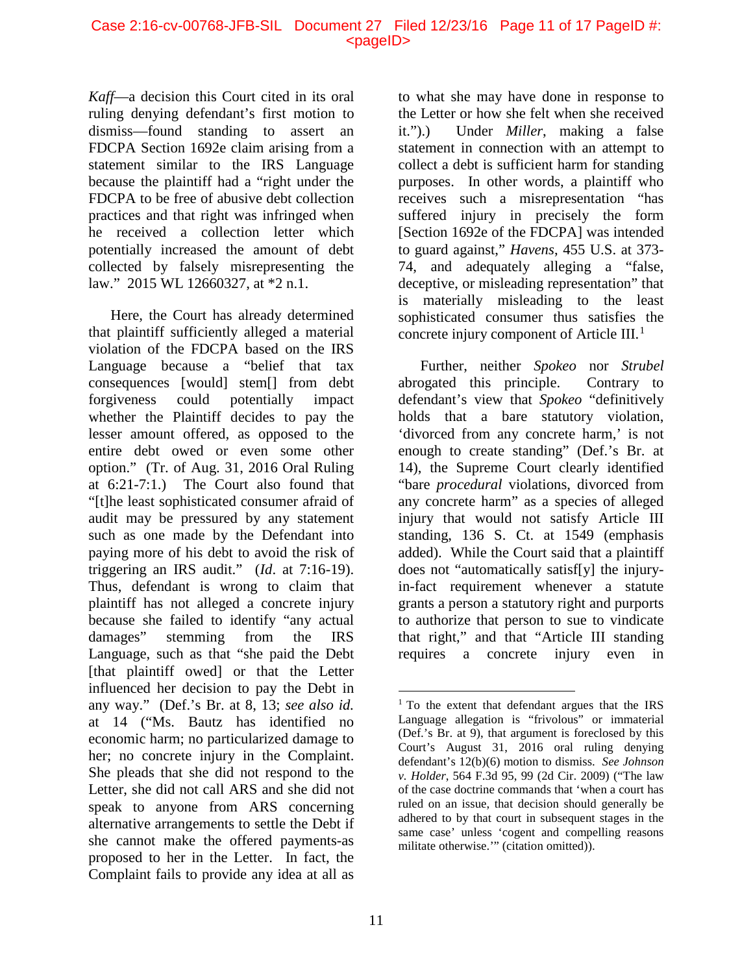*Kaff*—a decision this Court cited in its oral ruling denying defendant's first motion to dismiss—found standing to assert an FDCPA Section 1692e claim arising from a statement similar to the IRS Language because the plaintiff had a "right under the FDCPA to be free of abusive debt collection practices and that right was infringed when he received a collection letter which potentially increased the amount of debt collected by falsely misrepresenting the law." 2015 WL 12660327, at \*2 n.1.

Here, the Court has already determined that plaintiff sufficiently alleged a material violation of the FDCPA based on the IRS Language because a "belief that tax consequences [would] stem[] from debt forgiveness could potentially impact whether the Plaintiff decides to pay the lesser amount offered, as opposed to the entire debt owed or even some other option." (Tr. of Aug. 31, 2016 Oral Ruling at 6:21-7:1.) The Court also found that "[t]he least sophisticated consumer afraid of audit may be pressured by any statement such as one made by the Defendant into paying more of his debt to avoid the risk of triggering an IRS audit." (*Id*. at 7:16-19). Thus, defendant is wrong to claim that plaintiff has not alleged a concrete injury because she failed to identify "any actual damages" stemming from the IRS Language, such as that "she paid the Debt [that plaintiff owed] or that the Letter influenced her decision to pay the Debt in any way." (Def.'s Br. at 8, 13; *see also id.*  at 14 ("Ms. Bautz has identified no economic harm; no particularized damage to her; no concrete injury in the Complaint. She pleads that she did not respond to the Letter, she did not call ARS and she did not speak to anyone from ARS concerning alternative arrangements to settle the Debt if she cannot make the offered payments-as proposed to her in the Letter. In fact, the Complaint fails to provide any idea at all as

to what she may have done in response to the Letter or how she felt when she received it.").) Under *Miller*, making a false statement in connection with an attempt to collect a debt is sufficient harm for standing purposes. In other words, a plaintiff who receives such a misrepresentation "has suffered injury in precisely the form [Section 1692e of the FDCPA] was intended to guard against," *Havens*, 455 U.S. at 373- 74, and adequately alleging a "false, deceptive, or misleading representation" that is materially misleading to the least sophisticated consumer thus satisfies the concrete injury component of Article III. $<sup>1</sup>$  $<sup>1</sup>$  $<sup>1</sup>$ </sup>

Further, neither *Spokeo* nor *Strubel* abrogated this principle. Contrary to defendant's view that *Spokeo* "definitively holds that a bare statutory violation, 'divorced from any concrete harm,' is not enough to create standing" (Def.'s Br. at 14), the Supreme Court clearly identified "bare *procedural* violations, divorced from any concrete harm" as a species of alleged injury that would not satisfy Article III standing, 136 S. Ct. at 1549 (emphasis added). While the Court said that a plaintiff does not "automatically satisf[y] the injuryin-fact requirement whenever a statute grants a person a statutory right and purports to authorize that person to sue to vindicate that right," and that "Article III standing requires a concrete injury even in

<span id="page-10-0"></span><sup>&</sup>lt;sup>1</sup> To the extent that defendant argues that the IRS Language allegation is "frivolous" or immaterial (Def.'s Br. at 9), that argument is foreclosed by this Court's August 31, 2016 oral ruling denying defendant's 12(b)(6) motion to dismiss. *See Johnson v. Holder*, 564 F.3d 95, 99 (2d Cir. 2009) ("The law of the case doctrine commands that 'when a court has ruled on an issue, that decision should generally be adhered to by that court in subsequent stages in the same case' unless 'cogent and compelling reasons militate otherwise.'" (citation omitted)).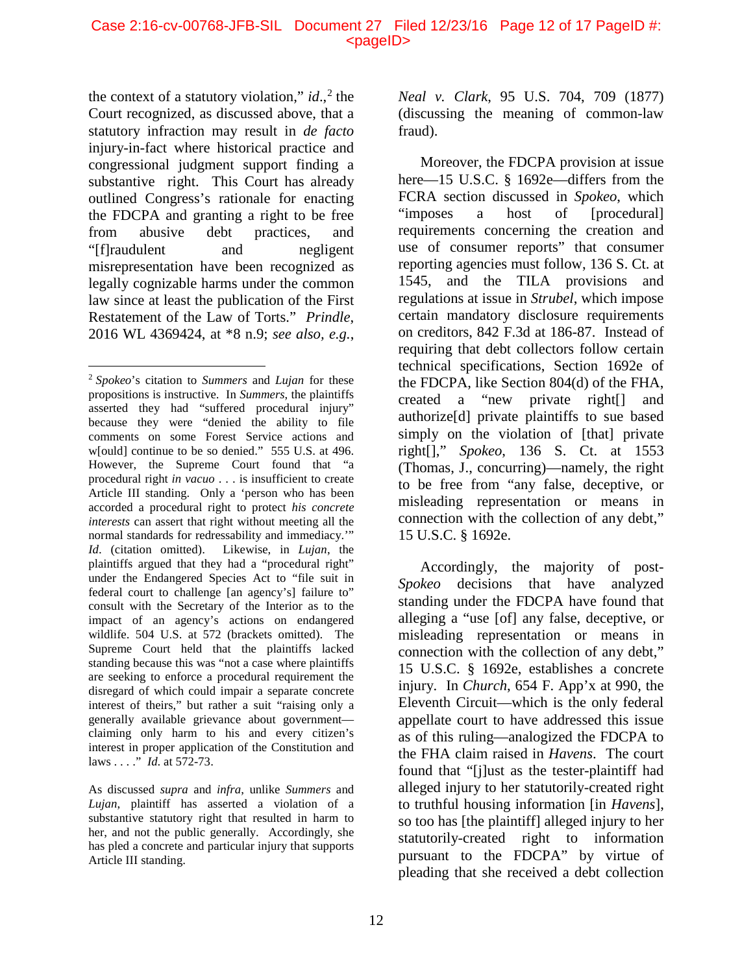the context of a statutory violation,"  $id.$ <sup>[2](#page-11-0)</sup> the Court recognized, as discussed above, that a statutory infraction may result in *de facto*  injury-in-fact where historical practice and congressional judgment support finding a substantive right. This Court has already outlined Congress's rationale for enacting the FDCPA and granting a right to be free from abusive debt practices, and "[f]raudulent and negligent misrepresentation have been recognized as legally cognizable harms under the common law since at least the publication of the First Restatement of the Law of Torts." *Prindle*, 2016 WL 4369424, at \*8 n.9; *see also, e.g.*,

As discussed *supra* and *infra*, unlike *Summers* and *Lujan*, plaintiff has asserted a violation of a substantive statutory right that resulted in harm to her, and not the public generally. Accordingly, she has pled a concrete and particular injury that supports Article III standing.

*Neal v. Clark*, 95 U.S. 704, 709 (1877) (discussing the meaning of common-law fraud).

Moreover, the FDCPA provision at issue here—15 U.S.C. § 1692e—differs from the FCRA section discussed in *Spokeo*, which "imposes a host of [procedural] requirements concerning the creation and use of consumer reports" that consumer reporting agencies must follow, 136 S. Ct. at 1545, and the TILA provisions and regulations at issue in *Strubel*, which impose certain mandatory disclosure requirements on creditors, 842 F.3d at 186-87. Instead of requiring that debt collectors follow certain technical specifications, Section 1692e of the FDCPA, like Section 804(d) of the FHA, created a "new private right[] and authorize[d] private plaintiffs to sue based simply on the violation of [that] private right[]," *Spokeo*, 136 S. Ct. at 1553 (Thomas, J., concurring)—namely, the right to be free from "any false, deceptive, or misleading representation or means in connection with the collection of any debt," 15 U.S.C. § 1692e.

Accordingly, the majority of post-*Spokeo* decisions that have analyzed standing under the FDCPA have found that alleging a "use [of] any false, deceptive, or misleading representation or means in connection with the collection of any debt," [15 U.S.C. § 1692e,](https://1.next.westlaw.com/Link/Document/FullText?findType=L&pubNum=1000546&cite=15USCAS1692&originatingDoc=I2492dac0648911e68bf9cabfb8a03530&refType=SP&originationContext=document&transitionType=DocumentItem&contextData=(sc.History*oc.UserEnteredCitation)#co_pp_7fdd00001ca15) establishes a concrete injury. In *Church*, 654 F. App'x at 990, the Eleventh Circuit—which is the only federal appellate court to have addressed this issue as of this ruling—analogized the FDCPA to the FHA claim raised in *Havens*. The court found that "[j]ust as the tester-plaintiff had alleged injury to her statutorily-created right to truthful housing information [in *Havens*], so too has [the plaintiff] alleged injury to her statutorily-created right to information pursuant to the FDCPA" by virtue of pleading that she received a debt collection

<span id="page-11-0"></span> <sup>2</sup> *Spokeo*'s citation to *Summers* and *Lujan* for these propositions is instructive. In *Summers*, the plaintiffs asserted they had "suffered procedural injury" because they were "denied the ability to file comments on some Forest Service actions and w[ould] continue to be so denied." 555 U.S. at 496. However, the Supreme Court found that "a procedural right *in vacuo* . . . is insufficient to create Article III standing. Only a 'person who has been accorded a procedural right to protect *his concrete interests* can assert that right without meeting all the normal standards for redressability and immediacy.'" *Id*. (citation omitted). Likewise, in *Lujan*, the plaintiffs argued that they had a "procedural right" under the Endangered Species Act to "file suit in federal court to challenge [an agency's] failure to" consult with the Secretary of the Interior as to the impact of an agency's actions on endangered wildlife. 504 U.S. at 572 (brackets omitted). The Supreme Court held that the plaintiffs lacked standing because this was "not a case where plaintiffs are seeking to enforce a procedural requirement the disregard of which could impair a separate concrete interest of theirs," but rather a suit "raising only a generally available grievance about government claiming only harm to his and every citizen's interest in proper application of the Constitution and laws . . . ." *Id*. at 572-73.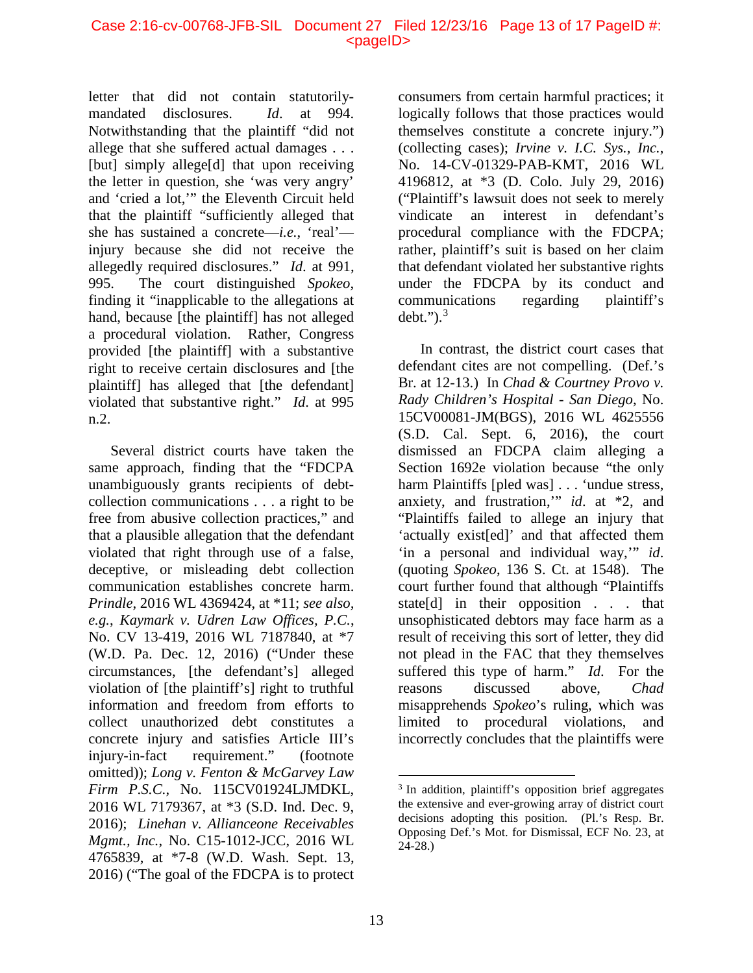letter that did not contain statutorilymandated disclosures. *Id*. at 994. Notwithstanding that the plaintiff "did not allege that she suffered actual damages . . . [but] simply allege[d] that upon receiving the letter in question, she 'was very angry' and 'cried a lot,'" the Eleventh Circuit held that the plaintiff "sufficiently alleged that she has sustained a concrete—*i.e.*, 'real' injury because she did not receive the allegedly required disclosures." *Id*. at 991, 995. The court distinguished *Spokeo*, finding it "inapplicable to the allegations at hand, because [the plaintiff] has not alleged a procedural violation. Rather, Congress provided [the plaintiff] with a substantive right to receive certain disclosures and [the plaintiff] has alleged that [the defendant] violated that substantive right." *Id*. at 995 n.2.

<span id="page-12-0"></span>Several district courts have taken the same approach, finding that the "FDCPA unambiguously grants recipients of debtcollection communications . . . a right to be free from abusive collection practices," and that a plausible allegation that the defendant violated that right through use of a false, deceptive, or misleading debt collection communication establishes concrete harm. *Prindle*, 2016 WL 4369424, at \*11; *see also, e.g.*, *Kaymark v. Udren Law Offices, P.C.*, No. CV 13-419, 2016 WL 7187840, at \*7 (W.D. Pa. Dec. 12, 2016) ("Under these circumstances, [the defendant's] alleged violation of [the plaintiff's] right to truthful information and freedom from efforts to collect unauthorized debt constitutes a concrete injury and satisfies Article III's injury-in-fact requirement." (footnote omitted)); *Long v. Fenton & McGarvey Law Firm P.S.C.*, No. 115CV01924LJMDKL, 2016 WL 7179367, at \*3 (S.D. Ind. Dec. 9, 2016); *Linehan v. Allianceone Receivables Mgmt., Inc.*, No. C15-1012-JCC, 2016 WL 4765839, at \*7-8 (W.D. Wash. Sept. 13, 2016) ("The goal of the FDCPA is to protect

consumers from certain harmful practices; it logically follows that those practices would themselves constitute a concrete injury.") (collecting cases); *Irvine v. I.C. Sys., Inc.*, No. 14-CV-01329-PAB-KMT, 2016 WL 4196812, at \*3 (D. Colo. July 29, 2016) ("Plaintiff's lawsuit does not seek to merely vindicate an interest in defendant's procedural compliance with the FDCPA; rather, plaintiff's suit is based on her claim that defendant violated her substantive rights under the FDCPA by its conduct and communications regarding plaintiff's debt." $)^3$  $)^3$ 

In contrast, the district court cases that defendant cites are not compelling. (Def.'s Br. at 12-13.) In *Chad & Courtney Provo v. Rady Children's Hospital - San Diego*, No. 15CV00081-JM(BGS), 2016 WL 4625556 (S.D. Cal. Sept. 6, 2016), the court dismissed an FDCPA claim alleging a Section 1692e violation because "the only harm Plaintiffs [pled was] . . . 'undue stress, anxiety, and frustration,'" *id*. at \*2, and "Plaintiffs failed to allege an injury that 'actually exist[ed]' and that affected them 'in a personal and individual way,'" *id*. (quoting *Spokeo*, 136 S. Ct. at 1548). The court further found that although "Plaintiffs state[d] in their opposition . . . that unsophisticated debtors may face harm as a result of receiving this sort of letter, they did not plead in the FAC that they themselves suffered this type of harm." *Id*. For the reasons discussed above, *Chad* misapprehends *Spokeo*'s ruling, which was limited to procedural violations, and incorrectly concludes that the plaintiffs were

<sup>&</sup>lt;sup>3</sup> In addition, plaintiff's opposition brief aggregates the extensive and ever-growing array of district court decisions adopting this position. (Pl.'s Resp. Br. Opposing Def.'s Mot. for Dismissal, ECF No. 23, at 24-28.)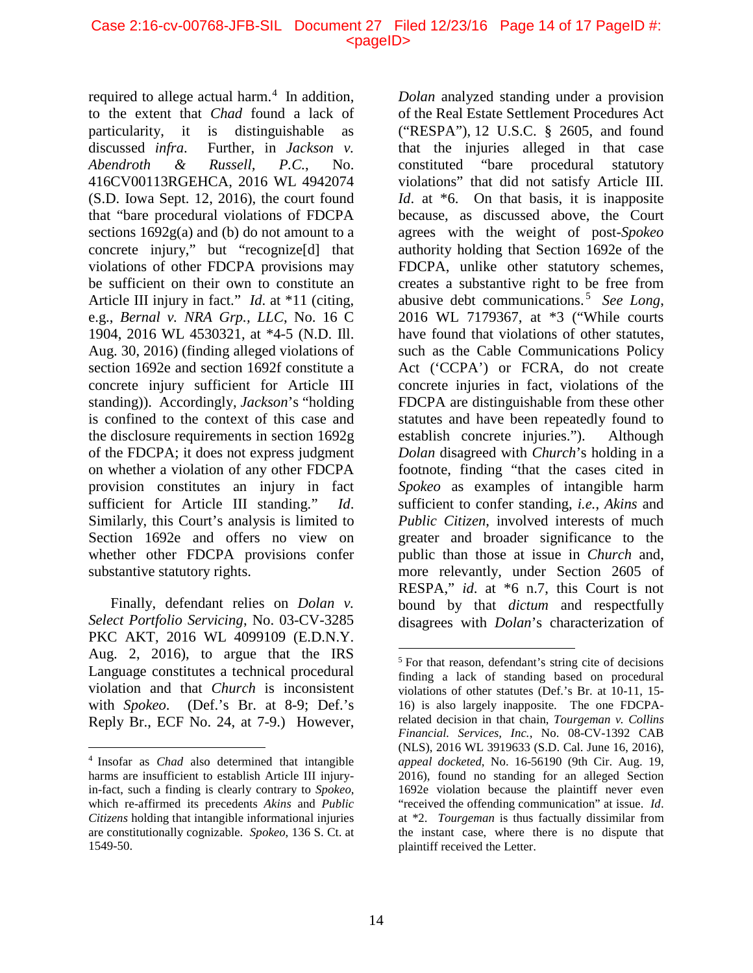#### Case 2:16-cv-00768-JFB-SIL Document 27 Filed 12/23/16 Page 14 of 17 PageID #:  $<$ pageID $>$

required to allege actual harm. $4$  In addition, to the extent that *Chad* found a lack of particularity, it is distinguishable as discussed *infra*. Further, in *Jackson v. Abendroth & Russell, P.C.*, No. 416CV00113RGEHCA, 2016 WL 4942074 (S.D. Iowa Sept. 12, 2016), the court found that "bare procedural violations of FDCPA sections  $1692g(a)$  and (b) do not amount to a concrete injury," but "recognize[d] that violations of other FDCPA provisions may be sufficient on their own to constitute an Article III injury in fact." *Id*. at \*11 (citing, e.g., *Bernal v. NRA Grp., LLC*, No. 16 C 1904, 2016 WL 4530321, at \*4-5 (N.D. Ill. Aug. 30, 2016) (finding alleged violations of section 1692e and section 1692f constitute a concrete injury sufficient for Article III standing)). Accordingly, *Jackson*'s "holding is confined to the context of this case and the disclosure requirements in section 1692g of the FDCPA; it does not express judgment on whether a violation of any other FDCPA provision constitutes an injury in fact sufficient for Article III standing." *Id*. Similarly, this Court's analysis is limited to Section 1692e and offers no view on whether other FDCPA provisions confer substantive statutory rights.

<span id="page-13-1"></span>Finally, defendant relies on *Dolan v. Select Portfolio Servicing*, No. 03-CV-3285 PKC AKT, 2016 WL 4099109 (E.D.N.Y. Aug. 2, 2016), to argue that the IRS Language constitutes a technical procedural violation and that *Church* is inconsistent with *Spokeo*. (Def.'s Br. at 8-9; Def.'s Reply Br., ECF No. 24, at 7-9.) However, *Dolan* analyzed standing under a provision of the Real Estate Settlement Procedures Act ("RESPA"), [12 U.S.C. § 2605,](https://1.next.westlaw.com/Link/Document/FullText?findType=L&pubNum=1000546&cite=12USCAS2605&originatingDoc=I57969510599e11e6a73ccd89c92ec965&refType=LQ&originationContext=document&transitionType=DocumentItem&contextData=(sc.Keycite)) and found that the injuries alleged in that case constituted "bare procedural statutory violations" that did not satisfy Article III. *Id.* at  $*6$ . On that basis, it is inapposite because, as discussed above, the Court agrees with the weight of post-*Spokeo* authority holding that Section 1692e of the FDCPA, unlike other statutory schemes, creates a substantive right to be free from abusive debt communications. [5](#page-13-1) *See Long*, 2016 WL 7179367, at \*3 ("While courts have found that violations of other statutes, such as the Cable Communications Policy Act ('CCPA') or FCRA, do not create concrete injuries in fact, violations of the FDCPA are distinguishable from these other statutes and have been repeatedly found to establish concrete injuries."). Although *Dolan* disagreed with *Church*'s holding in a footnote, finding "that the cases cited in *Spokeo* as examples of intangible harm sufficient to confer standing, *i.e.*, *Akins* and *Public Citizen*, involved interests of much greater and broader significance to the public than those at issue in *Church* and, more relevantly, under Section 2605 of RESPA," *id*. at \*6 n.7, this Court is not bound by that *dictum* and respectfully disagrees with *Dolan*'s characterization of

<span id="page-13-0"></span> <sup>4</sup> Insofar as *Chad* also determined that intangible harms are insufficient to establish Article III injuryin-fact, such a finding is clearly contrary to *Spokeo*, which re-affirmed its precedents *Akins* and *Public Citizens* holding that intangible informational injuries are constitutionally cognizable. *Spokeo*, 136 S. Ct. at 1549-50.

 <sup>5</sup> For that reason, defendant's string cite of decisions finding a lack of standing based on procedural violations of other statutes (Def.'s Br. at 10-11, 15- 16) is also largely inapposite. The one FDCPArelated decision in that chain, *Tourgeman v. Collins Financial. Services, Inc.*, No. 08-CV-1392 CAB (NLS), 2016 WL 3919633 (S.D. Cal. June 16, 2016), *appeal docketed*, No. 16-56190 (9th Cir. Aug. 19, 2016), found no standing for an alleged Section 1692e violation because the plaintiff never even "received the offending communication" at issue. *Id*. at \*2. *Tourgeman* is thus factually dissimilar from the instant case, where there is no dispute that plaintiff received the Letter.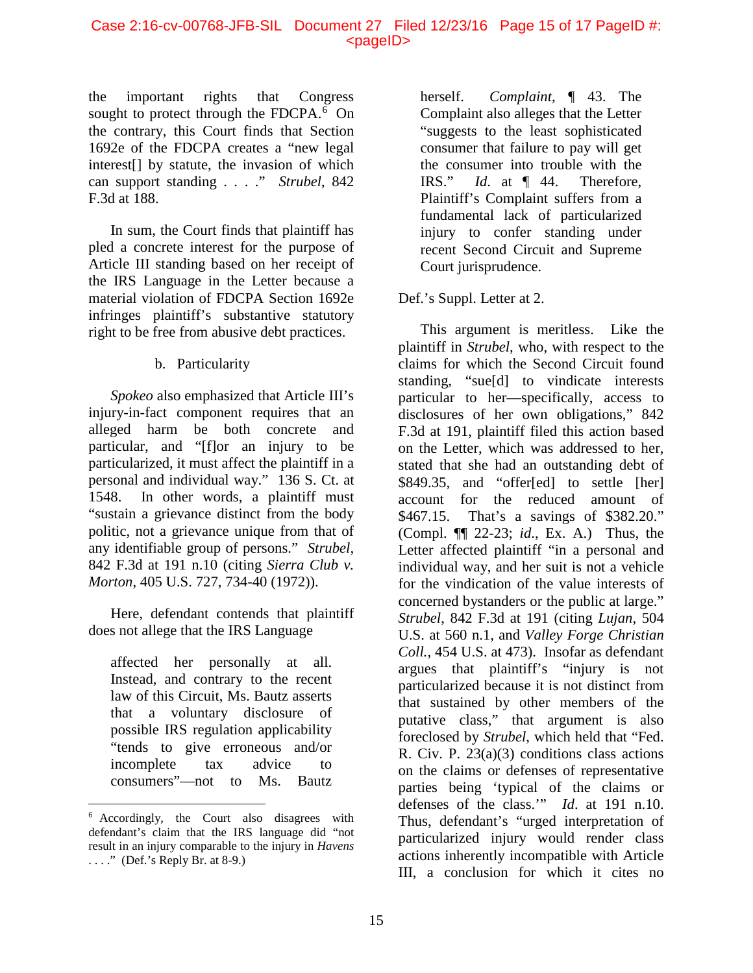#### Case 2:16-cv-00768-JFB-SIL Document 27 Filed 12/23/16 Page 15 of 17 PageID #: <pageID>

the important rights that Congress sought to protect through the FDCPA. $6$  On the contrary, this Court finds that Section 1692e of the FDCPA creates a "new legal interest[] by statute, the invasion of which can support standing . . . ." *Strubel*, 842 F.3d at 188.

In sum, the Court finds that plaintiff has pled a concrete interest for the purpose of Article III standing based on her receipt of the IRS Language in the Letter because a material violation of FDCPA Section 1692e infringes plaintiff's substantive statutory right to be free from abusive debt practices.

## b. Particularity

*Spokeo* also emphasized that Article III's injury-in-fact component requires that an alleged harm be both concrete and particular, and "[f]or an injury to be particularized, it must affect the plaintiff in a personal and individual way." 136 S. Ct. at 1548. In other words, a plaintiff must "sustain a grievance distinct from the body politic, not a grievance unique from that of any identifiable group of persons." *Strubel*, 842 F.3d at 191 n.10 (citing *Sierra Club v. Morton*, 405 U.S. 727, 734-40 (1972)).

Here, defendant contends that plaintiff does not allege that the IRS Language

affected her personally at all. Instead, and contrary to the recent law of this Circuit, Ms. Bautz asserts that a voluntary disclosure of possible IRS regulation applicability "tends to give erroneous and/or incomplete tax advice to consumers"—not to Ms. Bautz herself. *Complaint*, ¶ 43. The Complaint also alleges that the Letter "suggests to the least sophisticated consumer that failure to pay will get the consumer into trouble with the IRS." *Id*. at ¶ 44. Therefore, Plaintiff's Complaint suffers from a fundamental lack of particularized injury to confer standing under recent Second Circuit and Supreme Court jurisprudence.

## Def.'s Suppl. Letter at 2.

This argument is meritless. Like the plaintiff in *Strubel*, who, with respect to the claims for which the Second Circuit found standing, "sue[d] to vindicate interests particular to her—specifically, access to disclosures of her own obligations," 842 F.3d at 191, plaintiff filed this action based on the Letter, which was addressed to her, stated that she had an outstanding debt of \$849.35, and "offer[ed] to settle [her] account for the reduced amount of \$467.15. That's a savings of \$382.20." (Compl. ¶¶ 22-23; *id*., Ex. A.) Thus, the Letter affected plaintiff "in a personal and individual way, and her suit is not a vehicle for the vindication of the value interests of concerned bystanders or the public at large." *Strubel*, 842 F.3d at 191 (citing *Lujan*, 504 U.S. at 560 n.1, and *Valley Forge Christian Coll.*, 454 U.S. at 473). Insofar as defendant argues that plaintiff's "injury is not particularized because it is not distinct from that sustained by other members of the putative class," that argument is also foreclosed by *Strubel*, which held that "Fed. R. Civ. P. 23(a)(3) conditions class actions on the claims or defenses of representative parties being 'typical of the claims or defenses of the class.'" *Id*. at 191 n.10. Thus, defendant's "urged interpretation of particularized injury would render class actions inherently incompatible with Article III, a conclusion for which it cites no

<span id="page-14-0"></span> <sup>6</sup> Accordingly, the Court also disagrees with defendant's claim that the IRS language did "not result in an injury comparable to the injury in *Havens*  $\ldots$ ." (Def.'s Reply Br. at 8-9.)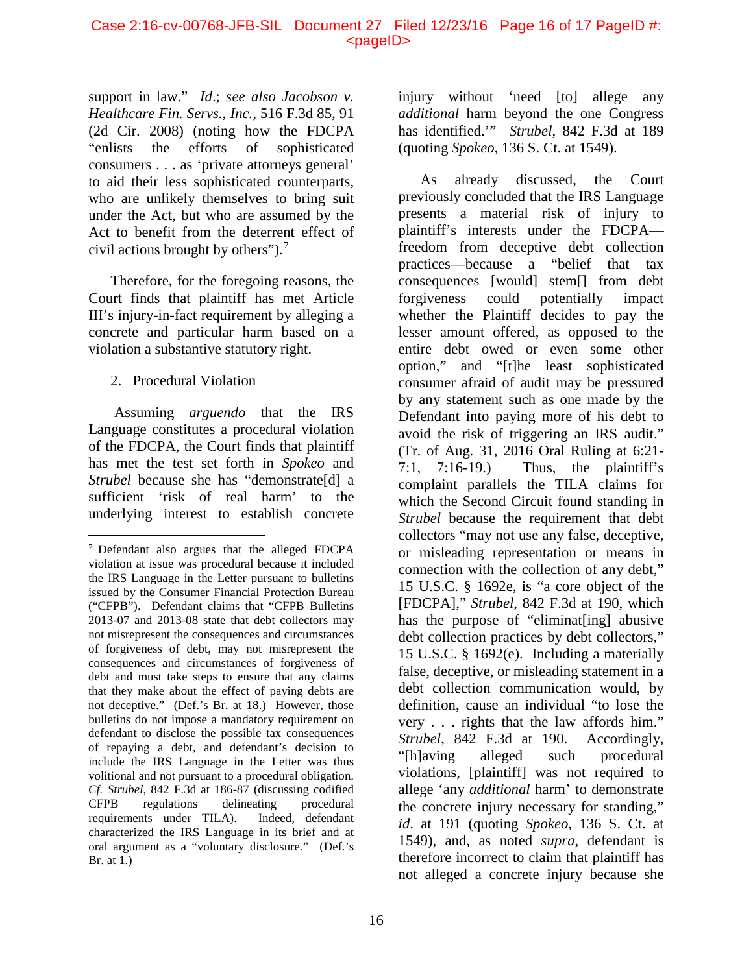support in law." *Id*.; *see also Jacobson v. Healthcare Fin. Servs., Inc.,* 516 F.3d 85, 91 (2d Cir. 2008) (noting how the FDCPA "enlists the efforts of sophisticated consumers . . . as 'private attorneys general' to aid their less sophisticated counterparts, who are unlikely themselves to bring suit under the Act, but who are assumed by the Act to benefit from the deterrent effect of civil actions brought by others"). [7](#page-15-0)

Therefore, for the foregoing reasons, the Court finds that plaintiff has met Article III's injury-in-fact requirement by alleging a concrete and particular harm based on a violation a substantive statutory right.

## 2. Procedural Violation

Assuming *arguendo* that the IRS Language constitutes a procedural violation of the FDCPA, the Court finds that plaintiff has met the test set forth in *Spokeo* and *Strubel* because she has "demonstrate<sup>[d]</sup> a sufficient 'risk of real harm' to the underlying interest to establish concrete injury without 'need [to] allege any *additional* harm beyond the one Congress has identified.'" *Strubel*, 842 F.3d at 189 (quoting *Spokeo*, 136 S. Ct. at 1549).

As already discussed, the Court previously concluded that the IRS Language presents a material risk of injury to plaintiff's interests under the FDCPA freedom from deceptive debt collection practices—because a "belief that tax consequences [would] stem[] from debt forgiveness could potentially impact whether the Plaintiff decides to pay the lesser amount offered, as opposed to the entire debt owed or even some other option," and "[t]he least sophisticated consumer afraid of audit may be pressured by any statement such as one made by the Defendant into paying more of his debt to avoid the risk of triggering an IRS audit." (Tr. of Aug. 31, 2016 Oral Ruling at 6:21- 7:1, 7:16-19.) Thus, the plaintiff's complaint parallels the TILA claims for which the Second Circuit found standing in *Strubel* because the requirement that debt collectors "may not use any false, deceptive, or misleading representation or means in connection with the collection of any debt," 15 U.S.C. § 1692e, is "a core object of the [FDCPA]," *Strubel*, 842 F.3d at 190, which has the purpose of "eliminat[ing] abusive debt collection practices by debt collectors," 15 U.S.C. § 1692(e). Including a materially false, deceptive, or misleading statement in a debt collection communication would, by definition, cause an individual "to lose the very . . . rights that the law affords him." *Strubel*, 842 F.3d at 190. Accordingly, "[h]aving alleged such procedural violations, [plaintiff] was not required to allege 'any *additional* harm' to demonstrate the concrete injury necessary for standing," *id*. at 191 (quoting *Spokeo*, 136 S. Ct. at 1549), and, as noted *supra*, defendant is therefore incorrect to claim that plaintiff has not alleged a concrete injury because she

<span id="page-15-0"></span> <sup>7</sup> Defendant also argues that the alleged FDCPA violation at issue was procedural because it included the IRS Language in the Letter pursuant to bulletins issued by the Consumer Financial Protection Bureau ("CFPB"). Defendant claims that "CFPB Bulletins 2013-07 and 2013-08 state that debt collectors may not misrepresent the consequences and circumstances of forgiveness of debt, may not misrepresent the consequences and circumstances of forgiveness of debt and must take steps to ensure that any claims that they make about the effect of paying debts are not deceptive." (Def.'s Br. at 18.) However, those bulletins do not impose a mandatory requirement on defendant to disclose the possible tax consequences of repaying a debt, and defendant's decision to include the IRS Language in the Letter was thus volitional and not pursuant to a procedural obligation. *Cf. Strubel*, 842 F.3d at 186-87 (discussing codified CFPB regulations delineating procedural<br>requirements under TILA). Indeed, defendant requirements under TILA). characterized the IRS Language in its brief and at oral argument as a "voluntary disclosure." (Def.'s Br. at 1.)